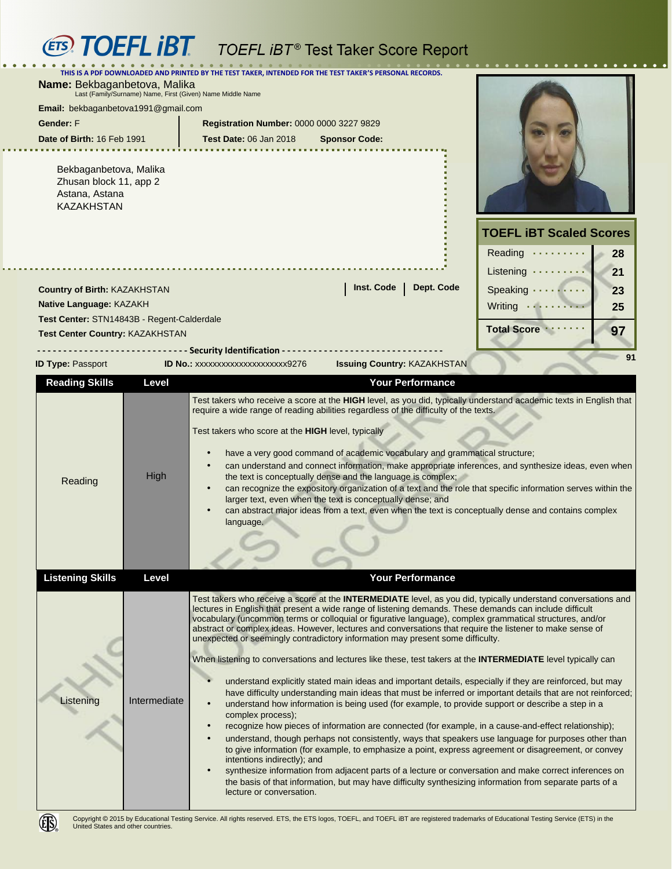## **(ETS) TOEFL IBT** TOEFL IBT<sup>®</sup> Test Taker Score Report

|                                                                                            |                                                                                                                                                                                                                                                                                                                                                                                                                                                                                                                                                                                                                                                                                                                                                                                                                                                                                                                                                                                                                                                                                                                                                                                                                                                                                                                                                                                                                                                                                                                                                                                                                                                         | <b>IGOL TANGE OGOIG INGPORT</b>                                                                                                                                                                                                                                                                                                                                                                                                                                                                                                                                                                                                                                                                                                                                                                                         |                                |
|--------------------------------------------------------------------------------------------|---------------------------------------------------------------------------------------------------------------------------------------------------------------------------------------------------------------------------------------------------------------------------------------------------------------------------------------------------------------------------------------------------------------------------------------------------------------------------------------------------------------------------------------------------------------------------------------------------------------------------------------------------------------------------------------------------------------------------------------------------------------------------------------------------------------------------------------------------------------------------------------------------------------------------------------------------------------------------------------------------------------------------------------------------------------------------------------------------------------------------------------------------------------------------------------------------------------------------------------------------------------------------------------------------------------------------------------------------------------------------------------------------------------------------------------------------------------------------------------------------------------------------------------------------------------------------------------------------------------------------------------------------------|-------------------------------------------------------------------------------------------------------------------------------------------------------------------------------------------------------------------------------------------------------------------------------------------------------------------------------------------------------------------------------------------------------------------------------------------------------------------------------------------------------------------------------------------------------------------------------------------------------------------------------------------------------------------------------------------------------------------------------------------------------------------------------------------------------------------------|--------------------------------|
|                                                                                            |                                                                                                                                                                                                                                                                                                                                                                                                                                                                                                                                                                                                                                                                                                                                                                                                                                                                                                                                                                                                                                                                                                                                                                                                                                                                                                                                                                                                                                                                                                                                                                                                                                                         | PDF DOWNLOADED AND PRINTED BY THE TEST TAKER, INTENDED FOR THE TEST TAKER'S PERSONAL RECORDS.                                                                                                                                                                                                                                                                                                                                                                                                                                                                                                                                                                                                                                                                                                                           |                                |
| Name: Bekbaganbetova, Malika<br>Last (Family/Surname) Name, First (Given) Name Middle Name |                                                                                                                                                                                                                                                                                                                                                                                                                                                                                                                                                                                                                                                                                                                                                                                                                                                                                                                                                                                                                                                                                                                                                                                                                                                                                                                                                                                                                                                                                                                                                                                                                                                         |                                                                                                                                                                                                                                                                                                                                                                                                                                                                                                                                                                                                                                                                                                                                                                                                                         |                                |
| Email: bekbaganbetova1991@gmail.com                                                        |                                                                                                                                                                                                                                                                                                                                                                                                                                                                                                                                                                                                                                                                                                                                                                                                                                                                                                                                                                                                                                                                                                                                                                                                                                                                                                                                                                                                                                                                                                                                                                                                                                                         |                                                                                                                                                                                                                                                                                                                                                                                                                                                                                                                                                                                                                                                                                                                                                                                                                         |                                |
| Gender: F                                                                                  |                                                                                                                                                                                                                                                                                                                                                                                                                                                                                                                                                                                                                                                                                                                                                                                                                                                                                                                                                                                                                                                                                                                                                                                                                                                                                                                                                                                                                                                                                                                                                                                                                                                         | Registration Number: 0000 0000 3227 9829                                                                                                                                                                                                                                                                                                                                                                                                                                                                                                                                                                                                                                                                                                                                                                                |                                |
| Date of Birth: 16 Feb 1991                                                                 |                                                                                                                                                                                                                                                                                                                                                                                                                                                                                                                                                                                                                                                                                                                                                                                                                                                                                                                                                                                                                                                                                                                                                                                                                                                                                                                                                                                                                                                                                                                                                                                                                                                         | <b>Test Date: 06 Jan 2018</b><br><b>Sponsor Code:</b>                                                                                                                                                                                                                                                                                                                                                                                                                                                                                                                                                                                                                                                                                                                                                                   |                                |
| Bekbaganbetova, Malika<br>Zhusan block 11, app 2<br>Astana, Astana<br><b>KAZAKHSTAN</b>    |                                                                                                                                                                                                                                                                                                                                                                                                                                                                                                                                                                                                                                                                                                                                                                                                                                                                                                                                                                                                                                                                                                                                                                                                                                                                                                                                                                                                                                                                                                                                                                                                                                                         |                                                                                                                                                                                                                                                                                                                                                                                                                                                                                                                                                                                                                                                                                                                                                                                                                         |                                |
|                                                                                            |                                                                                                                                                                                                                                                                                                                                                                                                                                                                                                                                                                                                                                                                                                                                                                                                                                                                                                                                                                                                                                                                                                                                                                                                                                                                                                                                                                                                                                                                                                                                                                                                                                                         |                                                                                                                                                                                                                                                                                                                                                                                                                                                                                                                                                                                                                                                                                                                                                                                                                         | <b>TOEFL IBT Scaled Scores</b> |
|                                                                                            |                                                                                                                                                                                                                                                                                                                                                                                                                                                                                                                                                                                                                                                                                                                                                                                                                                                                                                                                                                                                                                                                                                                                                                                                                                                                                                                                                                                                                                                                                                                                                                                                                                                         |                                                                                                                                                                                                                                                                                                                                                                                                                                                                                                                                                                                                                                                                                                                                                                                                                         |                                |
|                                                                                            |                                                                                                                                                                                                                                                                                                                                                                                                                                                                                                                                                                                                                                                                                                                                                                                                                                                                                                                                                                                                                                                                                                                                                                                                                                                                                                                                                                                                                                                                                                                                                                                                                                                         |                                                                                                                                                                                                                                                                                                                                                                                                                                                                                                                                                                                                                                                                                                                                                                                                                         | Reading<br>28                  |
|                                                                                            |                                                                                                                                                                                                                                                                                                                                                                                                                                                                                                                                                                                                                                                                                                                                                                                                                                                                                                                                                                                                                                                                                                                                                                                                                                                                                                                                                                                                                                                                                                                                                                                                                                                         |                                                                                                                                                                                                                                                                                                                                                                                                                                                                                                                                                                                                                                                                                                                                                                                                                         | Listening $\dots \dots$<br>21  |
| Country of Birth: KAZAKHSTAN                                                               |                                                                                                                                                                                                                                                                                                                                                                                                                                                                                                                                                                                                                                                                                                                                                                                                                                                                                                                                                                                                                                                                                                                                                                                                                                                                                                                                                                                                                                                                                                                                                                                                                                                         | Inst. Code<br>Dept. Code                                                                                                                                                                                                                                                                                                                                                                                                                                                                                                                                                                                                                                                                                                                                                                                                | Speaking<br>23                 |
| Native Language: KAZAKH                                                                    |                                                                                                                                                                                                                                                                                                                                                                                                                                                                                                                                                                                                                                                                                                                                                                                                                                                                                                                                                                                                                                                                                                                                                                                                                                                                                                                                                                                                                                                                                                                                                                                                                                                         |                                                                                                                                                                                                                                                                                                                                                                                                                                                                                                                                                                                                                                                                                                                                                                                                                         | Writing<br>25                  |
| Test Center: STN14843B - Regent-Calderdale                                                 |                                                                                                                                                                                                                                                                                                                                                                                                                                                                                                                                                                                                                                                                                                                                                                                                                                                                                                                                                                                                                                                                                                                                                                                                                                                                                                                                                                                                                                                                                                                                                                                                                                                         |                                                                                                                                                                                                                                                                                                                                                                                                                                                                                                                                                                                                                                                                                                                                                                                                                         | <b>Total Score</b><br>97       |
| Test Center Country: KAZAKHSTAN                                                            |                                                                                                                                                                                                                                                                                                                                                                                                                                                                                                                                                                                                                                                                                                                                                                                                                                                                                                                                                                                                                                                                                                                                                                                                                                                                                                                                                                                                                                                                                                                                                                                                                                                         |                                                                                                                                                                                                                                                                                                                                                                                                                                                                                                                                                                                                                                                                                                                                                                                                                         |                                |
| <b>ID Type: Passport</b>                                                                   |                                                                                                                                                                                                                                                                                                                                                                                                                                                                                                                                                                                                                                                                                                                                                                                                                                                                                                                                                                                                                                                                                                                                                                                                                                                                                                                                                                                                                                                                                                                                                                                                                                                         | <b>Security Identification -</b><br><b>Issuing Country: KAZAKHSTAN</b><br>ID No.: xxxxxxxxxxxxxxxxxxxx9276                                                                                                                                                                                                                                                                                                                                                                                                                                                                                                                                                                                                                                                                                                              | 91                             |
| <b>Reading Skills</b>                                                                      | Level                                                                                                                                                                                                                                                                                                                                                                                                                                                                                                                                                                                                                                                                                                                                                                                                                                                                                                                                                                                                                                                                                                                                                                                                                                                                                                                                                                                                                                                                                                                                                                                                                                                   | <b>Your Performance</b>                                                                                                                                                                                                                                                                                                                                                                                                                                                                                                                                                                                                                                                                                                                                                                                                 |                                |
| Reading                                                                                    | High                                                                                                                                                                                                                                                                                                                                                                                                                                                                                                                                                                                                                                                                                                                                                                                                                                                                                                                                                                                                                                                                                                                                                                                                                                                                                                                                                                                                                                                                                                                                                                                                                                                    | Test takers who receive a score at the HIGH level, as you did, typically understand academic texts in English that<br>require a wide range of reading abilities regardless of the difficulty of the texts.<br>Test takers who score at the HIGH level, typically<br>have a very good command of academic vocabulary and grammatical structure;<br>can understand and connect information, make appropriate inferences, and synthesize ideas, even when<br>the text is conceptually dense and the language is complex;<br>can recognize the expository organization of a text and the role that specific information serves within the<br>larger text, even when the text is conceptually dense; and<br>can abstract major ideas from a text, even when the text is conceptually dense and contains complex<br>language. |                                |
| <b>Listening Skills</b>                                                                    | Level                                                                                                                                                                                                                                                                                                                                                                                                                                                                                                                                                                                                                                                                                                                                                                                                                                                                                                                                                                                                                                                                                                                                                                                                                                                                                                                                                                                                                                                                                                                                                                                                                                                   | <b>Your Performance</b>                                                                                                                                                                                                                                                                                                                                                                                                                                                                                                                                                                                                                                                                                                                                                                                                 |                                |
| Listening                                                                                  | Test takers who receive a score at the <b>INTERMEDIATE</b> level, as you did, typically understand conversations and<br>lectures in English that present a wide range of listening demands. These demands can include difficult<br>vocabulary (uncommon terms or colloquial or figurative language), complex grammatical structures, and/or<br>abstract or complex ideas. However, lectures and conversations that require the listener to make sense of<br>unexpected or seemingly contradictory information may present some difficulty.<br>When listening to conversations and lectures like these, test takers at the INTERMEDIATE level typically can<br>understand explicitly stated main ideas and important details, especially if they are reinforced, but may<br>have difficulty understanding main ideas that must be inferred or important details that are not reinforced;<br>Intermediate<br>understand how information is being used (for example, to provide support or describe a step in a<br>complex process);<br>recognize how pieces of information are connected (for example, in a cause-and-effect relationship);<br>$\bullet$<br>understand, though perhaps not consistently, ways that speakers use language for purposes other than<br>to give information (for example, to emphasize a point, express agreement or disagreement, or convey<br>intentions indirectly); and<br>synthesize information from adjacent parts of a lecture or conversation and make correct inferences on<br>the basis of that information, but may have difficulty synthesizing information from separate parts of a<br>lecture or conversation. |                                                                                                                                                                                                                                                                                                                                                                                                                                                                                                                                                                                                                                                                                                                                                                                                                         |                                |

 $\ddot{\phantom{a}}$ 



 $\bullet\hspace{0.1cm} \bullet\hspace{0.1cm}\bullet\hspace{0.1cm}\bullet$ 

a a shek

**. . . . .**